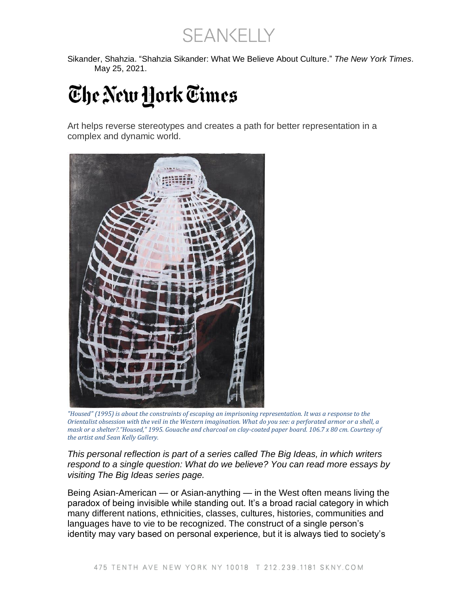SEANKELLY

Sikander, Shahzia. "Shahzia Sikander: What We Believe About Culture." *The New York Times*. May 25, 2021.

## The New York Times

Art helps reverse stereotypes and creates a path for better representation in a complex and dynamic world.



*"Housed" (1995) is about the constraints of escaping an imprisoning representation. It was a response to the Orientalist obsession with the veil in the Western imagination. What do you see: a perforated armor or a shell, a mask or a shelter?."Housed," 1995. Gouache and charcoal on clay-coated paper board. 106.7 x 80 cm. Courtesy of the artist and Sean Kelly Gallery.*

*This personal reflection is part of a series called The Big Ideas, in which writers respond to a single question: What do we believe? You can read more essays by visiting The Big Ideas series page.*

Being Asian-American — or Asian-anything — in the West often means living the paradox of being invisible while standing out. It's a broad racial category in which many different nations, ethnicities, classes, cultures, histories, communities and languages have to vie to be recognized. The construct of a single person's identity may vary based on personal experience, but it is always tied to society's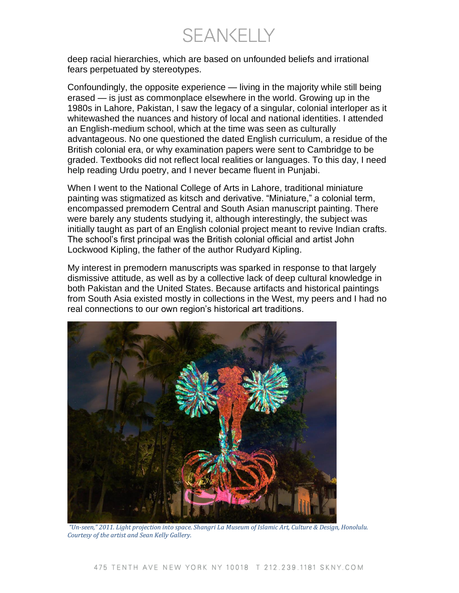**SEANKELLY** 

deep racial hierarchies, which are based on unfounded beliefs and irrational fears perpetuated by stereotypes.

Confoundingly, the opposite experience — living in the majority while still being erased — is just as commonplace elsewhere in the world. Growing up in the 1980s in Lahore, Pakistan, I saw the legacy of a singular, colonial interloper as it whitewashed the nuances and history of local and national identities. I attended an English-medium school, which at the time was seen as culturally advantageous. No one questioned the dated English curriculum, a residue of the British colonial era, or why examination papers were sent to Cambridge to be graded. Textbooks did not reflect local realities or languages. To this day, I need help reading Urdu poetry, and I never became fluent in Punjabi.

When I went to the National College of Arts in Lahore, traditional miniature painting was stigmatized as kitsch and derivative. "Miniature," a colonial term, encompassed premodern Central and South Asian manuscript painting. There were barely any students studying it, although interestingly, the subject was initially taught as part of an English colonial project meant to revive Indian crafts. The school's first principal was the British colonial official and artist John Lockwood Kipling, the father of the author Rudyard Kipling.

My interest in premodern manuscripts was sparked in response to that largely dismissive attitude, as well as by a collective lack of deep cultural knowledge in both Pakistan and the United States. Because artifacts and historical paintings from South Asia existed mostly in collections in the West, my peers and I had no real connections to our own region's historical art traditions.



*"Un-seen," 2011. Light projection into space. Shangri La Museum of Islamic Art, Culture & Design, Honolulu. Courtesy of the artist and Sean Kelly Gallery.*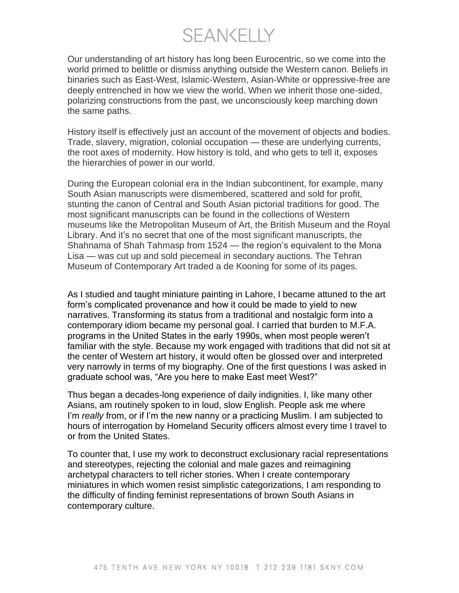**SEANKELLY** 

Our understanding of art history has long been Eurocentric, so we come into the world primed to belittle or dismiss anything outside the Western canon. Beliefs in binaries such as East-West, Islamic-Western, Asian-White or oppressive-free are deeply entrenched in how we view the world. When we inherit those one-sided, polarizing constructions from the past, we unconsciously keep marching down the same paths.

History itself is effectively just an account of the movement of objects and bodies. Trade, slavery, migration, colonial occupation — these are underlying currents, the root axes of modernity. How history is told, and who gets to tell it, exposes the hierarchies of power in our world.

During the European colonial era in the Indian subcontinent, for example, many South Asian manuscripts were dismembered, scattered and sold for profit, stunting the canon of Central and South Asian pictorial traditions for good. The most significant manuscripts can be found in the collections of Western museums like the Metropolitan Museum of Art, the British Museum and the Royal Library. And it's no secret that one of the most significant manuscripts, the Shahnama of Shah Tahmasp from 1524 — the region's equivalent to the Mona Lisa — was cut up and sold piecemeal in secondary auctions. The Tehran Museum of Contemporary Art traded a de Kooning for some of its pages.

As I studied and taught miniature painting in Lahore, I became attuned to the art form's complicated provenance and how it could be made to yield to new narratives. Transforming its status from a traditional and nostalgic form into a contemporary idiom became my personal goal. I carried that burden to M.F.A. programs in the United States in the early 1990s, when most people weren't familiar with the style. Because my work engaged with traditions that did not sit at the center of Western art history, it would often be glossed over and interpreted very narrowly in terms of my biography. One of the first questions I was asked in graduate school was, "Are you here to make East meet West?"

Thus began a decades-long experience of daily indignities. I, like many other Asians, am routinely spoken to in loud, slow English. People ask me where I'm *really* from, or if I'm the new nanny or a practicing Muslim. I am subjected to hours of interrogation by Homeland Security officers almost every time I travel to or from the United States.

To counter that, I use my work to deconstruct exclusionary racial representations and stereotypes, rejecting the colonial and male gazes and reimagining archetypal characters to tell richer stories. When I create contemporary miniatures in which women resist simplistic categorizations, I am responding to the difficulty of finding feminist representations of brown South Asians in contemporary culture.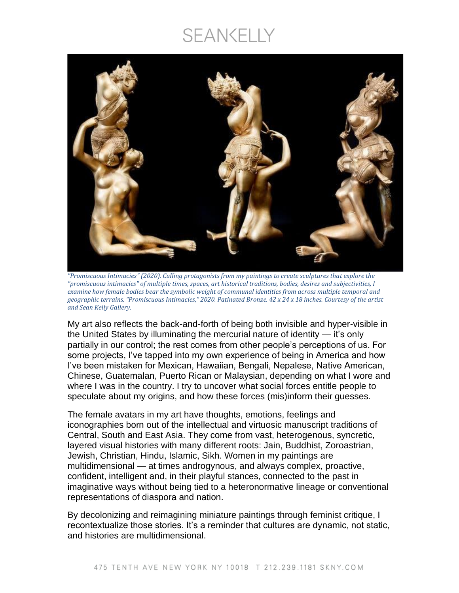## SEANKELLY



*"Promiscuous Intimacies" (2020). Culling protagonists from my paintings to create sculptures that explore the "promiscuous intimacies" of multiple times, spaces, art historical traditions, bodies, desires and subjectivities, I examine how female bodies bear the symbolic weight of communal identities from across multiple temporal and geographic terrains. "Promiscuous Intimacies," 2020. Patinated Bronze. 42 x 24 x 18 inches. Courtesy of the artist and Sean Kelly Gallery.* 

My art also reflects the back-and-forth of being both invisible and hyper-visible in the United States by illuminating the mercurial nature of identity — it's only partially in our control; the rest comes from other people's perceptions of us. For some projects, I've tapped into my own experience of being in America and how I've been mistaken for Mexican, Hawaiian, Bengali, Nepalese, Native American, Chinese, Guatemalan, Puerto Rican or Malaysian, depending on what I wore and where I was in the country. I try to uncover what social forces entitle people to speculate about my origins, and how these forces (mis)inform their guesses.

The female avatars in my art have thoughts, emotions, feelings and iconographies born out of the intellectual and virtuosic manuscript traditions of Central, South and East Asia. They come from vast, heterogenous, syncretic, layered visual histories with many different roots: Jain, Buddhist, Zoroastrian, Jewish, Christian, Hindu, Islamic, Sikh. Women in my paintings are multidimensional — at times androgynous, and always complex, proactive, confident, intelligent and, in their playful stances, connected to the past in imaginative ways without being tied to a heteronormative lineage or conventional representations of diaspora and nation.

By decolonizing and reimagining miniature paintings through feminist critique, I recontextualize those stories. It's a reminder that cultures are dynamic, not static, and histories are multidimensional.